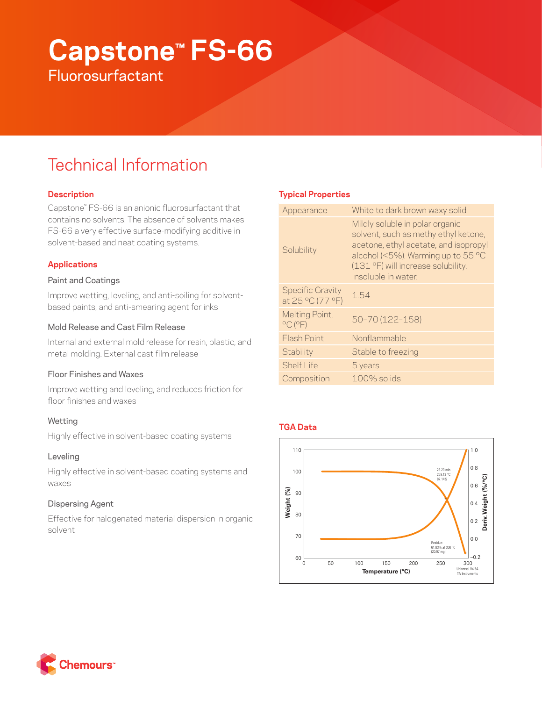# **Capstone™ FS-66 Fluorosurfactant**

## Technical Information

## **Description**

Capstone™ FS-66 is an anionic fluorosurfactant that contains no solvents. The absence of solvents makes FS-66 a very effective surface-modifying additive in solvent-based and neat coating systems.

## **Applications**

#### Paint and Coatings

Improve wetting, leveling, and anti-soiling for solventbased paints, and anti-smearing agent for inks

#### Mold Release and Cast Film Release

Internal and external mold release for resin, plastic, and metal molding. External cast film release

## Floor Finishes and Waxes

Improve wetting and leveling, and reduces friction for floor finishes and waxes

## Wetting

Highly effective in solvent-based coating systems

## Leveling

Highly effective in solvent-based coating systems and waxes

## Dispersing Agent

Effective for halogenated material dispersion in organic solvent

## **Typical Properties**

| Appearance                                     | White to dark brown waxy solid                                                                                                                                                                                      |
|------------------------------------------------|---------------------------------------------------------------------------------------------------------------------------------------------------------------------------------------------------------------------|
| Solubility                                     | Mildly soluble in polar organic<br>solvent, such as methy ethyl ketone,<br>acetone, ethyl acetate, and isopropyl<br>alcohol (<5%). Warming up to 55 °C<br>(131 °F) will increase solubility.<br>Insoluble in water. |
| <b>Specific Gravity</b><br>at 25 °C (77 °F)    | 154                                                                                                                                                                                                                 |
| Melting Point,<br>$^{\circ}$ C ( $^{\circ}$ F) | 50-70 (122-158)                                                                                                                                                                                                     |
| <b>Flash Point</b>                             | Nonflammable                                                                                                                                                                                                        |
| Stability                                      | Stable to freezing                                                                                                                                                                                                  |
| Shelf I ife                                    | 5 years                                                                                                                                                                                                             |
| Composition                                    | $100\%$ solids                                                                                                                                                                                                      |
|                                                |                                                                                                                                                                                                                     |

## **TGA Data**